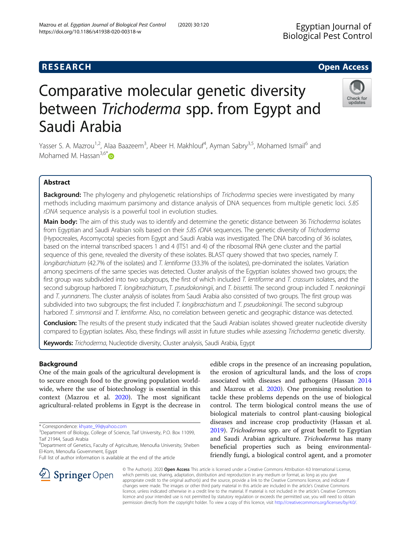## **RESEARCH CHE Open Access**

# Comparative molecular genetic diversity between Trichoderma spp. from Egypt and Saudi Arabia

Yasser S. A. Mazrou<sup>1,2</sup>, Alaa Baazeem<sup>3</sup>, Abeer H. Makhlouf<sup>4</sup>, Ayman Sabry<sup>3,5</sup>, Mohamed Ismail<sup>6</sup> and Mohamed M. Hassan $^{3,6}$ 

## Abstract

**Background:** The phylogeny and phylogenetic relationships of Trichoderma species were investigated by many methods including maximum parsimony and distance analysis of DNA sequences from multiple genetic loci. 5.8S rDNA sequence analysis is a powerful tool in evolution studies.

Main body: The aim of this study was to identify and determine the genetic distance between 36 Trichoderma isolates from Egyptian and Saudi Arabian soils based on their 5.8S rDNA sequences. The genetic diversity of Trichoderma (Hypocreales, Ascomycota) species from Egypt and Saudi Arabia was investigated. The DNA barcoding of 36 isolates, based on the internal transcribed spacers 1 and 4 (ITS1 and 4) of the ribosomal RNA gene cluster and the partial sequence of this gene, revealed the diversity of these isolates. BLAST query showed that two species, namely T. longibarchiatum (42.7% of the isolates) and T. lentiforme (33.3% of the isolates), pre-dominated the isolates. Variation among specimens of the same species was detected. Cluster analysis of the Egyptian isolates showed two groups; the first group was subdivided into two subgroups, the first of which included T. lentiforme and T. crassum isolates, and the second subgroup harbored T. longibrachiatum, T. pseudokoningii, and T. bissettii. The second group included T. neokoningii and T. yunnanens. The cluster analysis of isolates from Saudi Arabia also consisted of two groups. The first group was subdivided into two subgroups; the first included T. longibrachiatum and T. pseudokoningii. The second subgroup harbored T. simmonsii and T. lentiforme. Also, no correlation between genetic and geographic distance was detected.

Conclusion: The results of the present study indicated that the Saudi Arabian isolates showed greater nucleotide diversity compared to Egyptian isolates. Also, these findings will assist in future studies while assessing Trichoderma genetic diversity.

Keywords: Trichoderma, Nucleotide diversity, Cluster analysis, Saudi Arabia, Egypt

## Background

One of the main goals of the agricultural development is to secure enough food to the growing population worldwide, where the use of biotechnology is essential in this context (Mazrou et al. [2020](#page-8-0)). The most significant agricultural-related problems in Egypt is the decrease in

\* Correspondence: [khyate\\_99@yahoo.com](mailto:khyate_99@yahoo.com) <sup>3</sup>

**Springer** Open

edible crops in the presence of an increasing population, the erosion of agricultural lands, and the loss of crops associated with diseases and pathogens (Hassan [2014](#page-8-0) and Mazrou et al. [2020\)](#page-8-0). One promising resolution to tackle these problems depends on the use of biological control. The term biological control means the use of biological materials to control plant-causing biological diseases and increase crop productivity (Hassan et al. [2019](#page-8-0)). Trichoderma spp. are of great benefit to Egyptian and Saudi Arabian agriculture. Trichoderma has many beneficial properties such as being environmental-

friendly fungi, a biological control agent, and a promoter

© The Author(s). 2020 Open Access This article is licensed under a Creative Commons Attribution 4.0 International License, which permits use, sharing, adaptation, distribution and reproduction in any medium or format, as long as you give appropriate credit to the original author(s) and the source, provide a link to the Creative Commons licence, and indicate if changes were made. The images or other third party material in this article are included in the article's Creative Commons licence, unless indicated otherwise in a credit line to the material. If material is not included in the article's Creative Commons licence and your intended use is not permitted by statutory regulation or exceeds the permitted use, you will need to obtain permission directly from the copyright holder. To view a copy of this licence, visit <http://creativecommons.org/licenses/by/4.0/>.







<sup>&</sup>lt;sup>3</sup>Department of Biology, College of Science, Taif University, P.O. Box 11099, Taif 21944, Saudi Arabia

<sup>&</sup>lt;sup>6</sup>Department of Genetics, Faculty of Agriculture, Menoufia University, Sheben El-Kom, Menoufia Government, Egypt

Full list of author information is available at the end of the article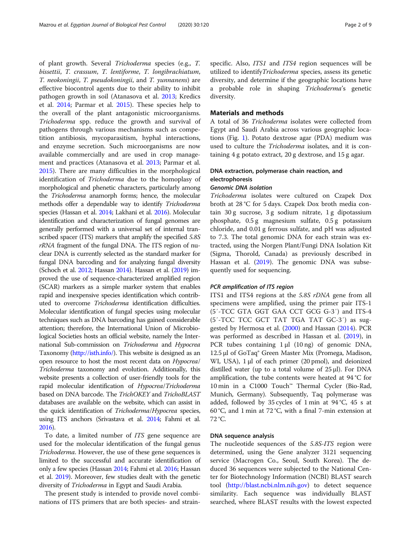of plant growth. Several Trichoderma species (e.g., T. bissettii, T. crassum, T. lentiforme, T. longibrachiatum, T. neokoningii, T. pseudokoningii, and T. yunnanens) are effective biocontrol agents due to their ability to inhibit pathogen growth in soil (Atanasova et al. [2013;](#page-8-0) Kredics et al. [2014](#page-8-0); Parmar et al. [2015](#page-8-0)). These species help to the overall of the plant antagonistic microorganisms. Trichoderma spp. reduce the growth and survival of pathogens through various mechanisms such as competition antibiosis, mycoparasitism, hyphal interactions, and enzyme secretion. Such microorganisms are now available commercially and are used in crop management and practices (Atanasova et al. [2013](#page-8-0); Parmar et al. [2015](#page-8-0)). There are many difficulties in the morphological identification of Trichoderma due to the homoplasy of morphological and phenetic characters, particularly among the Trichoderma anamorph forms; hence, the molecular methods offer a dependable way to identify Trichoderma species (Hassan et al. [2014](#page-8-0); Lakhani et al. [2016](#page-8-0)). Molecular identification and characterization of fungal genomes are generally performed with a universal set of internal transcribed spacer (ITS) markers that amplify the specified 5.8S rRNA fragment of the fungal DNA. The ITS region of nuclear DNA is currently selected as the standard marker for fungal DNA barcoding and for analyzing fungal diversity (Schoch et al. [2012](#page-8-0); Hassan [2014](#page-8-0)). Hassan et al. ([2019\)](#page-8-0) improved the use of sequence-characterized amplified region (SCAR) markers as a simple marker system that enables rapid and inexpensive species identification which contributed to overcome Trichoderma identification difficulties. Molecular identification of fungal species using molecular techniques such as DNA barcoding has gained considerable attention; therefore, the International Union of Microbiological Societies hosts an official website, namely the International Sub-commission on Trichoderma and Hypocrea Taxonomy [\(http://isth.info/](http://isth.info/)). This website is designed as an open resource to host the most recent data on Hypocrea/ Trichoderma taxonomy and evolution. Additionally, this website presents a collection of user-friendly tools for the rapid molecular identification of Hypocrea/Trichoderma based on DNA barcode. The TrichOKEY and TrichoBLAST databases are available on the website, which can assist in the quick identification of Trichoderma/Hypocrea species, using ITS anchors (Srivastava et al. [2014;](#page-8-0) Fahmi et al. [2016\)](#page-8-0).

To date, a limited number of ITS gene sequence are used for the molecular identification of the fungal genus Trichoderma. However, the use of these gene sequences is limited to the successful and accurate identification of only a few species (Hassan [2014;](#page-8-0) Fahmi et al. [2016;](#page-8-0) Hassan et al. [2019](#page-8-0)). Moreover, few studies dealt with the genetic diversity of Trichoderma in Egypt and Saudi Arabia.

The present study is intended to provide novel combinations of ITS primers that are both species- and strainspecific. Also, ITS1 and ITS4 region sequences will be utilized to identifyTrichoderma species, assess its genetic diversity, and determine if the geographic locations have a probable role in shaping *Trichoderma*'s genetic diversity.

### Materials and methods

A total of 36 Trichoderma isolates were collected from Egypt and Saudi Arabia across various geographic locations (Fig. [1\)](#page-2-0). Potato dextrose agar (PDA) medium was used to culture the Trichoderma isolates, and it is containing 4 g potato extract, 20 g dextrose, and 15 g agar.

## DNA extraction, polymerase chain reaction, and electrophoresis

## Genomic DNA isolation

Trichoderma isolates were cultured on Czapek Dox broth at 28 °C for 5 days. Czapek Dox broth media contain 30 g sucrose, 3 g sodium nitrate, 1 g dipotassium phosphate, 0.5 g magnesium sulfate, 0.5 g potassium chloride, and 0.01 g ferrous sulfate, and pH was adjusted to 7.3. The total genomic DNA for each strain was extracted, using the Norgen Plant/Fungi DNA Isolation Kit (Sigma, Thorold, Canada) as previously described in Hassan et al. [\(2019\)](#page-8-0). The genomic DNA was subsequently used for sequencing.

#### PCR amplification of ITS region

ITS1 and ITS4 regions at the 5.8S rDNA gene from all specimens were amplified, using the primer pair ITS-1 (5′-TCC GTA GGT GAA CCT GCG G-3′) and ITS-4 (5′-TCC TCC GCT TAT TGA TAT GC-3′) as suggested by Hermosa et al. ([2000](#page-8-0)) and Hassan [\(2014\)](#page-8-0). PCR was performed as described in Hassan et al. [\(2019\)](#page-8-0), in PCR tubes containing 1 μl (10 ng) of genomic DNA, 12.5 μl of GoTaq® Green Master Mix (Promega, Madison, WI, USA), 1 μl of each primer (20 pmol), and deionized distilled water (up to a total volume of  $25 \mu$ ). For DNA amplification, the tube contents were heated at 94 °C for 10 min in a C1000 Touch™ Thermal Cycler (Bio-Rad, Munich, Germany). Subsequently, Taq polymerase was added, followed by 35 cycles of 1 min at 94 °C, 45 s at 60 °C, and 1 min at 72 °C, with a final 7-min extension at 72 °C.

#### DNA sequence analysis

The nucleotide sequences of the 5.8S-ITS region were determined, using the Gene analyzer 3121 sequencing service (Macrogen Co., Seoul, South Korea). The deduced 36 sequences were subjected to the National Center for Biotechnology Information (NCBI) BLAST search tool [\(http://blast.ncbi.nlm.nih.gov](http://blast.ncbi.nlm.nih.gov)) to detect sequence similarity. Each sequence was individually BLAST searched, where BLAST results with the lowest expected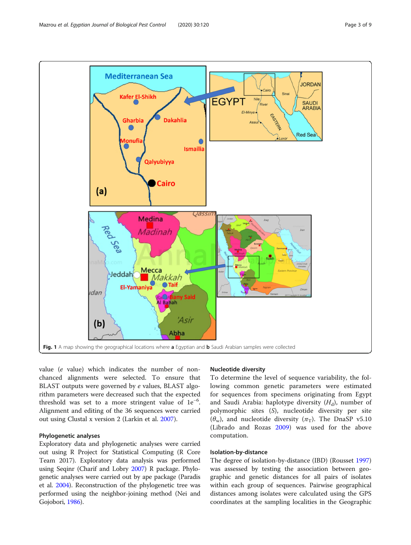<span id="page-2-0"></span>

value (e value) which indicates the number of nonchanced alignments were selected. To ensure that BLAST outputs were governed by e values, BLAST algorithm parameters were decreased such that the expected threshold was set to a more stringent value of 1e<sup>-6</sup>. Alignment and editing of the 36 sequences were carried out using Clustal x version 2 (Larkin et al. [2007](#page-8-0)).

## Phylogenetic analyses

Exploratory data and phylogenetic analyses were carried out using R Project for Statistical Computing (R Core Team 2017). Exploratory data analysis was performed using Seqinr (Charif and Lobry [2007](#page-8-0)) R package. Phylogenetic analyses were carried out by ape package (Paradis et al. [2004](#page-8-0)). Reconstruction of the phylogenetic tree was performed using the neighbor-joining method (Nei and Gojobori, [1986](#page-8-0)).

#### Nucleotide diversity

To determine the level of sequence variability, the following common genetic parameters were estimated for sequences from specimens originating from Egypt and Saudi Arabia: haplotype diversity  $(H_d)$ , number of polymorphic sites (S), nucleotide diversity per site  $(\theta_w)$ , and nucleotide diversity  $(\pi_T)$ . The DnaSP v5.10 (Librado and Rozas [2009](#page-8-0)) was used for the above computation.

#### Isolation-by-distance

The degree of isolation-by-distance (IBD) (Rousset [1997](#page-8-0)) was assessed by testing the association between geographic and genetic distances for all pairs of isolates within each group of sequences. Pairwise geographical distances among isolates were calculated using the GPS coordinates at the sampling localities in the Geographic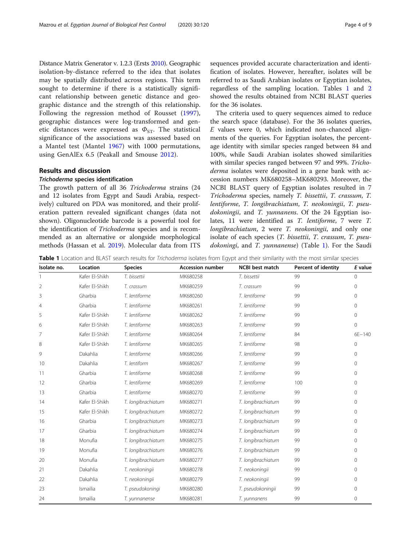Distance Matrix Generator v. 1.2.3 (Ersts [2010\)](#page-8-0). Geographic isolation-by-distance referred to the idea that isolates may be spatially distributed across regions. This term sought to determine if there is a statistically significant relationship between genetic distance and geographic distance and the strength of this relationship. Following the regression method of Rousset [\(1997](#page-8-0)), geographic distances were log-transformed and genetic distances were expressed as  $\Phi_{ST}$ . The statistical significance of the associations was assessed based on a Mantel test (Mantel [1967](#page-8-0)) with 1000 permutations, using GenAlEx 6.5 (Peakall and Smouse [2012\)](#page-8-0).

#### Results and discussion

#### Trichoderma species identification

The growth pattern of all 36 Trichoderma strains (24 and 12 isolates from Egypt and Saudi Arabia, respectively) cultured on PDA was monitored, and their proliferation pattern revealed significant changes (data not shown). Oligonucleotide barcode is a powerful tool for the identification of Trichoderma species and is recommended as an alternative or alongside morphological methods (Hassan et al. [2019](#page-8-0)). Molecular data from ITS sequences provided accurate characterization and identification of isolates. However, hereafter, isolates will be referred to as Saudi Arabian isolates or Egyptian isolates, regardless of the sampling location. Tables 1 and [2](#page-4-0) showed the results obtained from NCBI BLAST queries for the 36 isolates.

The criteria used to query sequences aimed to reduce the search space (database). For the 36 isolates queries, E values were 0, which indicated non-chanced alignments of the queries. For Egyptian isolates, the percentage identity with similar species ranged between 84 and 100%, while Saudi Arabian isolates showed similarities with similar species ranged between 97 and 99%. Trichoderma isolates were deposited in a gene bank with accession numbers MK680258–MK680293. Moreover, the NCBI BLAST query of Egyptian isolates resulted in 7 Trichoderma species, namely T. bissettii, T. crassum, T. lentiforme, T. longibrachiatum, T. neokoningii, T. pseudokoningii, and T. yunnanens. Of the 24 Egyptian isolates, 11 were identified as T. lentiforme, 7 were T. longibrachiatum, 2 were T. neokoningii, and only one isolate of each species (T. bissettii, T. crassum, T. pseudokoningi, and T. yunnanense) (Table 1). For the Saudi

Table 1 Location and BLAST search results for Trichoderma isolates from Egypt and their similarity with the most similar species

| Isolate no.    | Location       | <b>Species</b>     | <b>Accession number</b> | <b>NCBI</b> best match | Percent of identity | E value     |
|----------------|----------------|--------------------|-------------------------|------------------------|---------------------|-------------|
|                | Kafer El-Shikh | T. bissettii       | MK680258                | T. bissettii           | 99                  | $\Omega$    |
| $\overline{2}$ | Kafer El-Shikh | T. crassum         | MK680259                | T. crassum             | 99                  | $\mathbf 0$ |
| 3              | Gharbia        | T. lentiforme      | MK680260                | T. lentiforme          | 99                  | $\Omega$    |
| $\overline{4}$ | Gharbia        | T. lentiforme      | MK680261                | T. lentiforme          | 99                  | $\circ$     |
| 5              | Kafer El-Shikh | T. lentiforme      | MK680262                | T. lentiforme          | 99                  | $\Omega$    |
| 6              | Kafer El-Shikh | T. lentiforme      | MK680263                | T. lentiforme          | 99                  | $\Omega$    |
| $\overline{7}$ | Kafer El-Shikh | T. lentiforme      | MK680264                | T. lentiforme          | 84                  | $6E - 140$  |
| 8              | Kafer El-Shikh | T. lentiforme      | MK680265                | T. lentiforme          | 98                  | $\Omega$    |
| 9              | Dakahlia       | T. lentiforme      | MK680266                | T. lentiforme          | 99                  | 0           |
| 10             | Dakahlia       | T. lentiform       | MK680267                | T. lentiforme          | 99                  | $\Omega$    |
| 11             | Gharbia        | T. lentiforme      | MK680268                | T. lentiforme          | 99                  | 0           |
| 12             | Gharbia        | T. lentiforme      | MK680269                | T. lentiforme          | 100                 | 0           |
| 13             | Gharbia        | T. lentiforme      | MK680270                | T. lentiforme          | 99                  | $\Omega$    |
| 14             | Kafer El-Shikh | T. longibrachiatum | MK680271                | T. longibrachiatum     | 99                  | $\Omega$    |
| 15             | Kafer El-Shikh | T. longibrachiatum | MK680272                | T. longibrachiatum     | 99                  | $\Omega$    |
| 16             | Gharbia        | T. longibrachiatum | MK680273                | T. longibrachiatum     | 99                  | $\Omega$    |
| 17             | Gharbia        | T. longibrachiatum | MK680274                | T. longibrachiatum     | 99                  | $\Omega$    |
| 18             | Monufia        | T. longibrachiatum | MK680275                | T. longibrachiatum     | 99                  | 0           |
| 19             | Monufia        | T. longibrachiatum | MK680276                | T. longibrachiatum     | 99                  | $\Omega$    |
| 20             | Monufia        | T. longibrachiatum | MK680277                | T. longibrachiatum     | 99                  | $\Omega$    |
| 21             | Dakahlia       | T. neokoningii     | MK680278                | T. neokoningii         | 99                  | $\Omega$    |
| 22             | Dakahlia       | T. neokoningii     | MK680279                | T. neokoningii         | 99                  | $\Omega$    |
| 23             | Ismailia       | T. pseudokoningi   | MK680280                | T. pseudokoningii      | 99                  | $\Omega$    |
| 24             | Ismailia       | T. yunnanense      | MK680281                | T. yunnanens           | 99                  | 0           |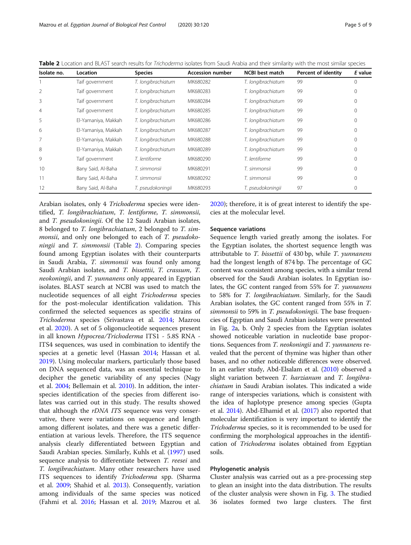| Isolate no.    | Location            | <b>Species</b>     | <b>Accession number</b> | <b>NCBI</b> best match | Percent of identity | E value          |
|----------------|---------------------|--------------------|-------------------------|------------------------|---------------------|------------------|
|                | Taif government     | T. longibrachiatum | MK680282                | T. longibrachiatum     | 99                  | C                |
|                | Taif government     | T. longibrachiatum | MK680283                | T. longibrachiatum     | 99                  | $\left( \right)$ |
| 3              | Taif government     | T. longibrachiatum | MK680284                | T. longibrachiatum     | 99                  |                  |
| $\overline{4}$ | Taif government     | T. longibrachiatum | MK680285                | T. longibrachiatum     | 99                  |                  |
| 5              | El-Yamaniya, Makkah | T. longibrachiatum | MK680286                | T. longibrachiatum     | 99                  |                  |
| 6              | El-Yamaniya, Makkah | T. longibrachiatum | MK680287                | T. longibrachiatum     | 99                  |                  |
|                | El-Yamaniya, Makkah | T. longibrachiatum | MK680288                | T. longibrachiatum     | 99                  |                  |
| 8              | El-Yamaniya, Makkah | T. longibrachiatum | MK680289                | T. longibrachiatum     | 99                  |                  |
| 9              | Taif government     | T. lentiforme      | MK680290                | T. lentiforme          | 99                  |                  |
| 10             | Bany Said, Al-Baha  | T. simmonsii       | MK680291                | T. simmonsii           | 99                  | 0                |
| 11             | Bany Said, Al-Baha  | T. simmonsii       | MK680292                | T. simmonsii           | 99                  | 0                |
| 12             | Bany Said, Al-Baha  | T. pseudokoningii  | MK680293                | T. pseudokoningii      | 97                  | $\left( \right)$ |

<span id="page-4-0"></span>Table 2 Location and BLAST search results for Trichoderma isolates from Saudi Arabia and their similarity with the most similar species

Arabian isolates, only 4 Trichoderma species were identified, T. longibrachiatum, T. lentiforme, T. simmonsii, and T. pseudokoningii. Of the 12 Saudi Arabian isolates, 8 belonged to T. longibrachiatum, 2 belonged to T. simmonsii, and only one belonged to each of T. pseudokoningii and T. simmonsii (Table 2). Comparing species found among Egyptian isolates with their counterparts in Saudi Arabia, T. simmonsii was found only among Saudi Arabian isolates, and T. bissettii, T. crassum, T. neokoningii, and T. yunnanens only appeared in Egyptian isolates. BLAST search at NCBI was used to match the nucleotide sequences of all eight Trichoderma species for the post-molecular identification validation. This confirmed the selected sequences as specific strains of Trichoderma species (Srivastava et al. [2014](#page-8-0); Mazrou et al. [2020](#page-8-0)). A set of 5 oligonucleotide sequences present in all known Hypocrea/Trichoderma ITS1 - 5.8S RNA - ITS4 sequences, was used in combination to identify the species at a genetic level (Hassan [2014](#page-8-0); Hassan et al. [2019](#page-8-0)). Using molecular markers, particularly those based on DNA sequenced data, was an essential technique to decipher the genetic variability of any species (Nagy et al. [2004;](#page-8-0) Bellemain et al. [2010\)](#page-8-0). In addition, the interspecies identification of the species from different isolates was carried out in this study. The results showed that although the rDNA ITS sequence was very conservative, there were variations on sequence and length among different isolates, and there was a genetic differentiation at various levels. Therefore, the ITS sequence analysis clearly differentiated between Egyptian and Saudi Arabian species. Similarly, Kuhls et al. ([1997](#page-8-0)) used sequence analysis to differentiate between T. reesei and T. longibrachiatum. Many other researchers have used ITS sequences to identify Trichoderma spp. (Sharma et al. [2009](#page-8-0); Shahid et al. [2013](#page-8-0)). Consequently, variation among individuals of the same species was noticed (Fahmi et al. [2016;](#page-8-0) Hassan et al. [2019;](#page-8-0) Mazrou et al. [2020](#page-8-0)); therefore, it is of great interest to identify the species at the molecular level.

#### Sequence variations

Sequence length varied greatly among the isolates. For the Egyptian isolates, the shortest sequence length was attributable to T. bissettii of 430 bp, while T. yunnanens had the longest length of 874 bp. The percentage of GC content was consistent among species, with a similar trend observed for the Saudi Arabian isolates. In Egyptian isolates, the GC content ranged from 55% for T. yunnanens to 58% for T. longibrachiatum. Similarly, for the Saudi Arabian isolates, the GC content ranged from 55% in T. simmonsii to 59% in T. pseudokoningii. The base frequencies of Egyptian and Saudi Arabian isolates were presented in Fig. [2a](#page-5-0), b. Only 2 species from the Egyptian isolates showed noticeable variation in nucleotide base proportions. Sequences from T. neokoningii and T. yunnanens revealed that the percent of thymine was higher than other bases, and no other noticeable differences were observed. In an earlier study, Abd-Elsalam et al. ([2010\)](#page-8-0) observed a slight variation between T. harzianum and T. longibrachiatum in Saudi Arabian isolates. This indicated a wide range of interspecies variations, which is consistent with the idea of haplotype presence among species (Gupta et al. [2014](#page-8-0)). Abd-Elhamid et al. [\(2017](#page-8-0)) also reported that molecular identification is very important to identify the Trichoderma species, so it is recommended to be used for confirming the morphological approaches in the identification of Trichoderma isolates obtained from Egyptian soils.

#### Phylogenetic analysis

Cluster analysis was carried out as a pre-processing step to glean an insight into the data distribution. The results of the cluster analysis were shown in Fig. [3.](#page-6-0) The studied 36 isolates formed two large clusters. The first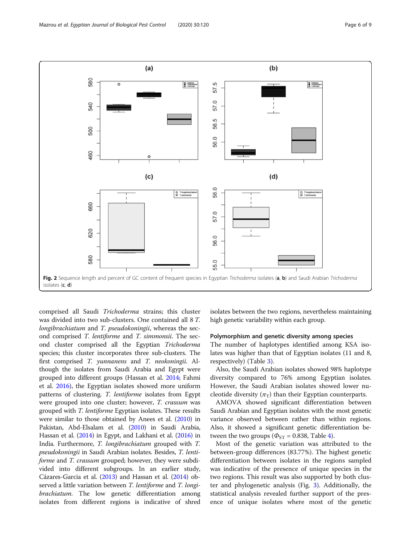<span id="page-5-0"></span>

comprised all Saudi Trichoderma strains; this cluster was divided into two sub-clusters. One contained all 8 T. longibrachiatum and T. pseudokoningii, whereas the second comprised T. lentiforme and T. simmonsii. The second cluster comprised all the Egyptian Trichoderma species; this cluster incorporates three sub-clusters. The first comprised T. yunnanens and T. neokoningii. Although the isolates from Saudi Arabia and Egypt were grouped into different groups (Hassan et al. [2014;](#page-8-0) Fahmi et al. [2016](#page-8-0)), the Egyptian isolates showed more uniform patterns of clustering. T. lentiforme isolates from Egypt were grouped into one cluster; however, T. crassum was grouped with T. lentiforme Egyptian isolates. These results were similar to those obtained by Anees et al. [\(2010\)](#page-8-0) in Pakistan, Abd-Elsalam et al. ([2010\)](#page-8-0) in Saudi Arabia, Hassan et al. [\(2014\)](#page-8-0) in Egypt, and Lakhani et al. [\(2016](#page-8-0)) in India. Furthermore, T. longibrachiatum grouped with T. pseudokoningii in Saudi Arabian isolates. Besides, T. lentiforme and T. crassum grouped; however, they were subdivided into different subgroups. In an earlier study, Cázares-Garcia et al. ([2013\)](#page-8-0) and Hassan et al. [\(2014](#page-8-0)) observed a little variation between T. lentiforme and T. longibrachiatum. The low genetic differentiation among isolates from different regions is indicative of shred

isolates between the two regions, nevertheless maintaining high genetic variability within each group.

#### Polymorphism and genetic diversity among species

The number of haplotypes identified among KSA isolates was higher than that of Egyptian isolates (11 and 8, respectively) (Table [3](#page-6-0)).

Also, the Saudi Arabian isolates showed 98% haplotype diversity compared to 76% among Egyptian isolates. However, the Saudi Arabian isolates showed lower nucleotide diversity  $(\pi_T)$  than their Egyptian counterparts.

AMOVA showed significant differentiation between Saudi Arabian and Egyptian isolates with the most genetic variance observed between rather than within regions. Also, it showed a significant genetic differentiation between the two groups ( $\Phi_{ST}$  = 0.838, Table [4\)](#page-6-0).

Most of the genetic variation was attributed to the between-group differences (83.77%). The highest genetic differentiation between isolates in the regions sampled was indicative of the presence of unique species in the two regions. This result was also supported by both cluster and phylogenetic analysis (Fig. [3](#page-6-0)). Additionally, the statistical analysis revealed further support of the presence of unique isolates where most of the genetic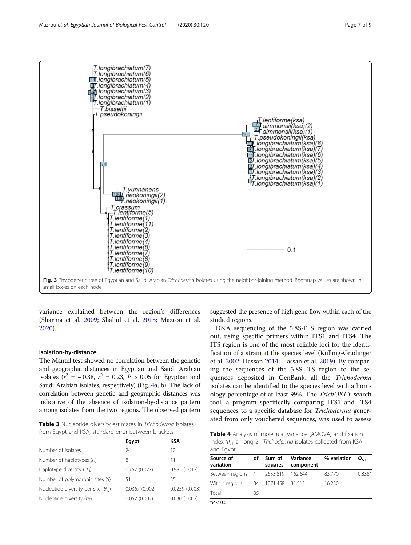<span id="page-6-0"></span>

variance explained between the region's differences (Sharma et al. [2009](#page-8-0); Shahid et al. [2013;](#page-8-0) Mazrou et al. [2020](#page-8-0)).

#### Isolation-by-distance

The Mantel test showed no correlation between the genetic and geographic distances in Egyptian and Saudi Arabian isolates ( $r^2 = -0.38$ ,  $r^2 = 0.23$ ,  $P > 0.05$  for Egyptian and Saudi Arabian isolates, respectively) (Fig. [4a](#page-7-0), b). The lack of correlation between genetic and geographic distances was indicative of the absence of isolation-by-distance pattern among isolates from the two regions. The observed pattern

from Egypt and KSA, standard error between brackets

|                                              | Egypt         | KSA           |
|----------------------------------------------|---------------|---------------|
| Number of isolates                           | 24            | 12            |
| Number of haplotypes $(H)$                   | 8             | 11            |
| Haplotype diversity $(H_d)$                  | 0.757(0.027)  | 0.985(0.012)  |
| Number of polymorphic sites (S)              | 51            | 35            |
| Nucleotide diversity per site $(\theta_{w})$ | 0.0367(0.002) | 0.0259(0.003) |
| Nucleotide diversity $(\pi_T)$               | 0.052(0.002)  | 0.030(0.002)  |

suggested the presence of high gene flow within each of the studied regions.

DNA sequencing of the 5.8S-ITS region was carried out, using specific primers within ITS1 and ITS4. The ITS region is one of the most reliable loci for the identification of a strain at the species level (Kullnig-Gradinger et al. [2002;](#page-8-0) Hassan [2014;](#page-8-0) Hassan et al. [2019\)](#page-8-0). By comparing the sequences of the 5.8S-ITS region to the sequences deposited in GenBank, all the Trichoderma isolates can be identified to the species level with a homology percentage of at least 99%. The TrichOKEY search tool, a program specifically comparing ITS1 and ITS4 sequences to a specific database for *Trichoderma* gener-**Table 3** Nucleotide diversity estimates in *Trichoderma* isolates and **ated from only vouchered sequences, was used to assess** 

**Table 4** Analysis of molecular variance (AMOVA) and fixation index  $\Phi_{ST}$  among 21 Trichoderma isolates collected from KSA and Egypt

| Source of<br>variation             | df | Sum of<br>squares | Variance<br>component | % variation $\phi_{\text{ST}}$ |          |
|------------------------------------|----|-------------------|-----------------------|--------------------------------|----------|
| Between regions 1 2633.819 162.644 |    |                   |                       | 83.770                         | $0.838*$ |
| Within regions 34 1071.458 31.513  |    |                   |                       | 16.230                         |          |
| Total                              | 35 |                   |                       |                                |          |
| $*P < 0.05$                        |    |                   |                       |                                |          |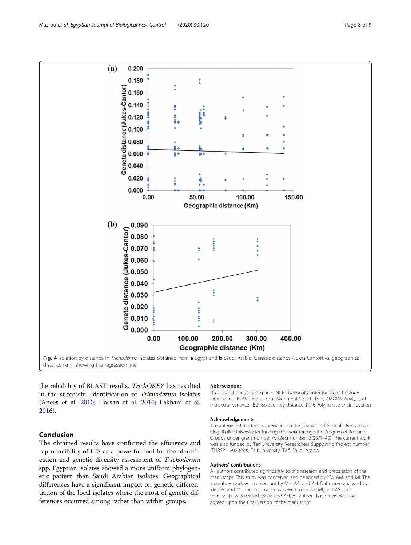<span id="page-7-0"></span>

the reliability of BLAST results. TrichOKEY has resulted in the successful identification of Trichoderma isolates (Anees et al. [2010](#page-8-0); Hassan et al. [2014](#page-8-0); Lakhani et al. [2016](#page-8-0)).

## Conclusion

The obtained results have confirmed the efficiency and reproducibility of ITS as a powerful tool for the identification and genetic diversity assessment of Trichoderma spp. Egyptian isolates showed a more uniform phylogenetic pattern than Saudi Arabian isolates. Geographical differences have a significant impact on genetic differentiation of the local isolates where the most of genetic differences occurred among rather than within groups.

#### Abbreviations

ITS: Internal transcribed spacer; NCBI: National Center for Biotechnology Information; BLAST: Basic Local Alignment Search Tool; AMOVA: Analysis of molecular variance; IBD: Isolation-by-distance; PCR: Polymerase chain reaction

#### Acknowledgements

The authors extend their appreciation to the Deanship of Scientific Research at King Khalid University for funding this work through the Program of Research Groups under grant number (project number 2/28/1440). The current work was also funded by Taif University Researchers Supporting Project number (TURSP - 2020/59), Taif university, Taif, Saudi Arabia.

#### Authors' contributions

All authors contributed significantly to this research and preparation of the manuscript. This study was conceived and designed by YM, AM, and MI. The laboratory work was carried out by MH, AB, and AH. Data were analyzed by YM, AS, and MI. The manuscript was written by AK, MI, and AS. The manuscript was revised by AB and AH. All authors have reviewed and agreed upon the final version of the manuscript.